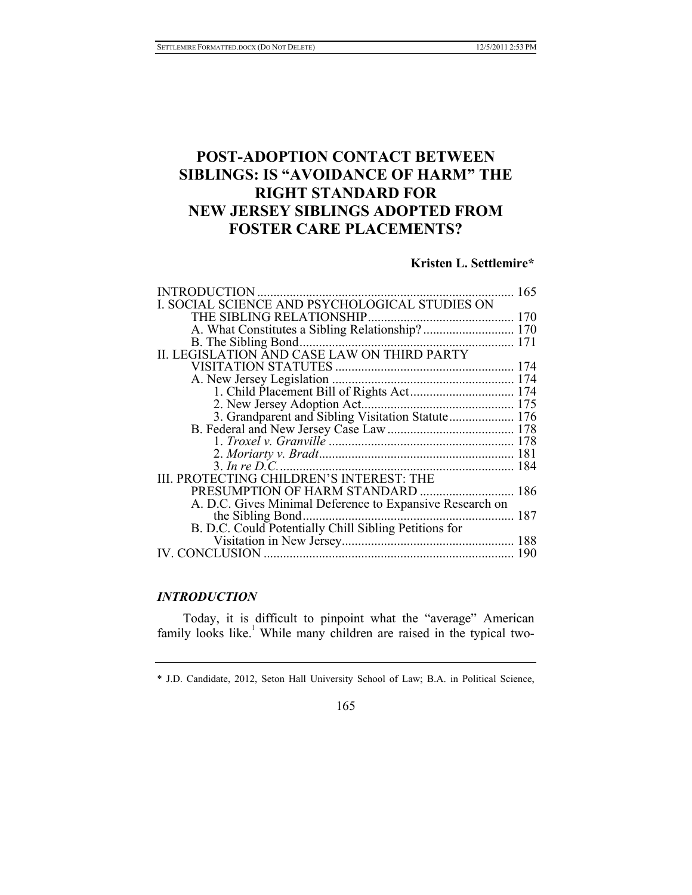# **POST-ADOPTION CONTACT BETWEEN SIBLINGS: IS "AVOIDANCE OF HARM" THE RIGHT STANDARD FOR NEW JERSEY SIBLINGS ADOPTED FROM FOSTER CARE PLACEMENTS?**

# **Kristen L. Settlemire\***

| <b>INTRODUCTION</b>                                      | 165 |
|----------------------------------------------------------|-----|
| I. SOCIAL SCIENCE AND PSYCHOLOGICAL STUDIES ON           |     |
|                                                          |     |
| A. What Constitutes a Sibling Relationship? 170          |     |
| B. The Sibling Bond                                      |     |
|                                                          |     |
|                                                          |     |
|                                                          |     |
|                                                          |     |
|                                                          |     |
| 3. Grandparent and Sibling Visitation Statute 176        |     |
|                                                          |     |
|                                                          |     |
|                                                          |     |
|                                                          |     |
| III. PROTECTING CHILDREN'S INTEREST: THE                 |     |
| PRESUMPTION OF HARM STANDARD  186                        |     |
| A. D.C. Gives Minimal Deference to Expansive Research on |     |
| the Sibling Bond                                         |     |
| B. D.C. Could Potentially Chill Sibling Petitions for    |     |
|                                                          |     |
| IV. CONCLUSION                                           | 190 |
|                                                          |     |

# *INTRODUCTION*

Today, it is difficult to pinpoint what the "average" American family looks like.<sup>1</sup> While many children are raised in the typical two-

165

<sup>\*</sup> J.D. Candidate, 2012, Seton Hall University School of Law; B.A. in Political Science,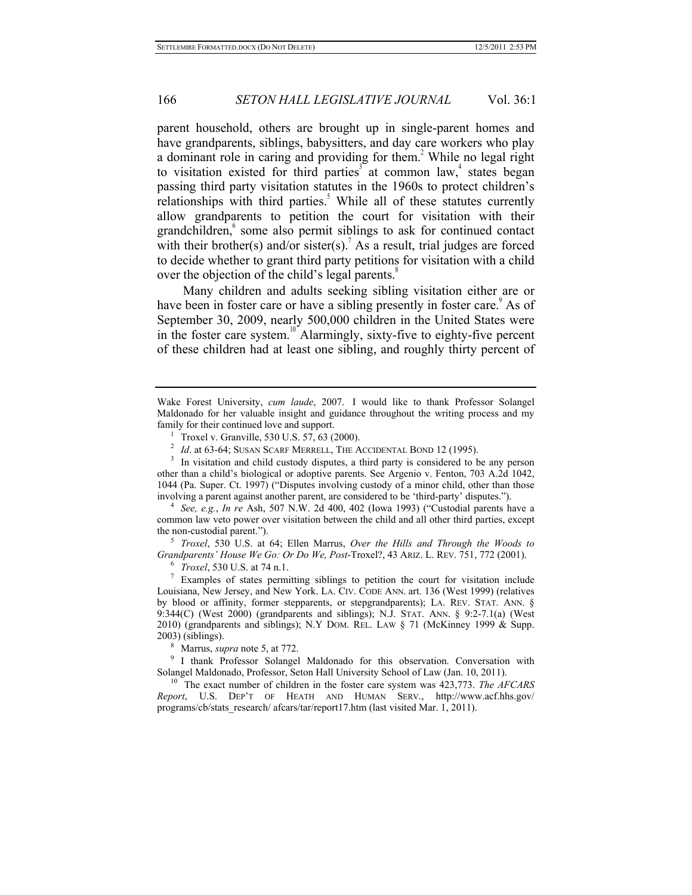parent household, others are brought up in single-parent homes and have grandparents, siblings, babysitters, and day care workers who play a dominant role in caring and providing for them.<sup>2</sup> While no legal right to visitation existed for third parties<sup>3</sup> at common law,<sup>4</sup> states began passing third party visitation statutes in the 1960s to protect children's relationships with third parties.<sup>5</sup> While all of these statutes currently allow grandparents to petition the court for visitation with their grandchildren,<sup>6</sup> some also permit siblings to ask for continued contact with their brother(s) and/or sister(s). As a result, trial judges are forced to decide whether to grant third party petitions for visitation with a child over the objection of the child's legal parents.<sup>8</sup>

Many children and adults seeking sibling visitation either are or have been in foster care or have a sibling presently in foster care.<sup>9</sup> As of September 30, 2009, nearly 500,000 children in the United States were in the foster care system.<sup>10</sup> Alarmingly, sixty-five to eighty-five percent of these children had at least one sibling, and roughly thirty percent of

See, e.g., *In re* Ash, 507 N.W. 2d 400, 402 (Iowa 1993) ("Custodial parents have a common law veto power over visitation between the child and all other third parties, except the non-custodial parent.").

<sup>5</sup> *Troxel*, 530 U.S. at 64; Ellen Marrus, *Over the Hills and Through the Woods to Grandparents' House We Go: Or Do We, Post*-Troxel?, 43 ARIZ. L. REV. 751, 772 (2001).<br><sup>6</sup> *Troxel*, 530 U.S. at 74 n.1.<br><sup>7</sup> Examples of states permitting siblings to petition the court for visitation include

Louisiana, New Jersey, and New York. LA. CIV. CODE ANN. art. 136 (West 1999) (relatives by blood or affinity, former stepparents, or stepgrandparents); LA. REV. STAT. ANN. § 9:344(C) (West 2000) (grandparents and siblings); N.J. STAT. ANN. § 9:2-7.1(a) (West 2010) (grandparents and siblings); N.Y DOM. REL. LAW § 71 (McKinney 1999 & Supp.

2003) (siblings).<br><sup>8</sup> Marrus, *supra* note 5, at 772.<br><sup>9</sup> I thank Professor Solangel Maldonado for this observation. Conversation with<br>Solangel Maldonado, Professor, Seton Hall University School of Law (Jan. 10, 2011).

<sup>10</sup> The exact number of children in the foster care system was 423,773. *The AFCARS Report*, U.S. DEP'T OF HEATH AND HUMAN SERV., http://www.acf.hhs.gov/ programs/cb/stats\_research/ afcars/tar/report17.htm (last visited Mar. 1, 2011).

Wake Forest University, *cum laude*, 2007. I would like to thank Professor Solangel Maldonado for her valuable insight and guidance throughout the writing process and my

<sup>&</sup>lt;sup>1</sup> Troxel v. Granville, 530 U.S. 57, 63 (2000).<br><sup>2</sup> *Id.* at 63-64; SUSAN SCARF MERRELL, THE ACCIDENTAL BOND 12 (1995).<br><sup>3</sup> In visitation and child custody disputes, a third party is considered to be any person other than a child's biological or adoptive parents. See Argenio v. Fenton, 703 A.2d 1042, 1044 (Pa. Super. Ct. 1997) ("Disputes involving custody of a minor child, other than those involving a parent against another parent, are considered to be 'third-party' disputes.").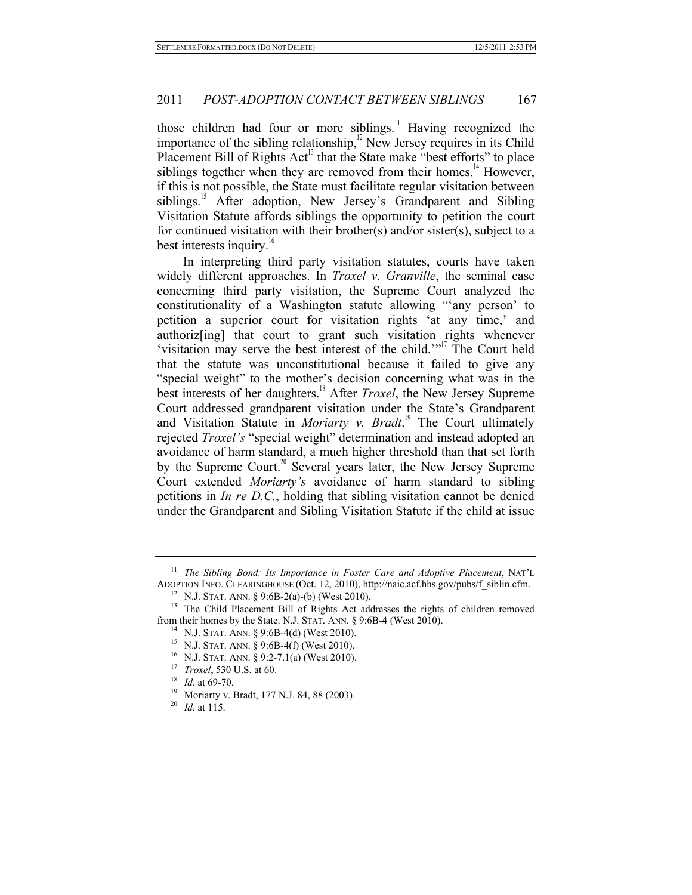those children had four or more siblings.<sup>11</sup> Having recognized the importance of the sibling relationship,<sup>12</sup> New Jersey requires in its Child Placement Bill of Rights  $Act<sup>13</sup>$  that the State make "best efforts" to place siblings together when they are removed from their homes.<sup>14</sup> However, if this is not possible, the State must facilitate regular visitation between siblings.<sup>15</sup> After adoption, New Jersey's Grandparent and Sibling Visitation Statute affords siblings the opportunity to petition the court for continued visitation with their brother(s) and/or sister(s), subject to a best interests inquiry.<sup>16</sup>

In interpreting third party visitation statutes, courts have taken widely different approaches. In *Troxel v. Granville*, the seminal case concerning third party visitation, the Supreme Court analyzed the constitutionality of a Washington statute allowing "'any person' to petition a superior court for visitation rights 'at any time,' and authoriz[ing] that court to grant such visitation rights whenever 'visitation may serve the best interest of the child.'"<sup>17</sup> The Court held that the statute was unconstitutional because it failed to give any "special weight" to the mother's decision concerning what was in the best interests of her daughters.18 After *Troxel*, the New Jersey Supreme Court addressed grandparent visitation under the State's Grandparent and Visitation Statute in *Moriarty v. Bradt*. 19 The Court ultimately rejected *Troxel's* "special weight" determination and instead adopted an avoidance of harm standard, a much higher threshold than that set forth by the Supreme Court.<sup>20</sup> Several years later, the New Jersey Supreme Court extended *Moriarty's* avoidance of harm standard to sibling petitions in *In re D.C.*, holding that sibling visitation cannot be denied under the Grandparent and Sibling Visitation Statute if the child at issue

<sup>&</sup>lt;sup>11</sup> *The Sibling Bond: Its Importance in Foster Care and Adoptive Placement*, NAT'L ADOPTION INFO. CLEARINGHOUSE (Oct. 12, 2010), http://naic.acf.hhs.gov/pubs/f siblin.cfm.

<sup>&</sup>lt;sup>12</sup> N.J. STAT. ANN. § 9:6B-2(a)-(b) (West 2010). <sup>13</sup> The Child Placement Bill of Rights Act addresses the rights of children removed from their homes by the State. N.J. STAT. ANN. § 9:6B-4 (West 2010).<br><sup>14</sup> N.J. STAT. ANN. § 9:6B-4(d) (West 2010).<br><sup>15</sup> N.J. STAT. ANN. § 9:6B-4(f) (West 2010).<br><sup>15</sup> N.J. STAT. ANN. § 9:6B-4(f) (West 2010).<br><sup>16</sup> N.J. STAT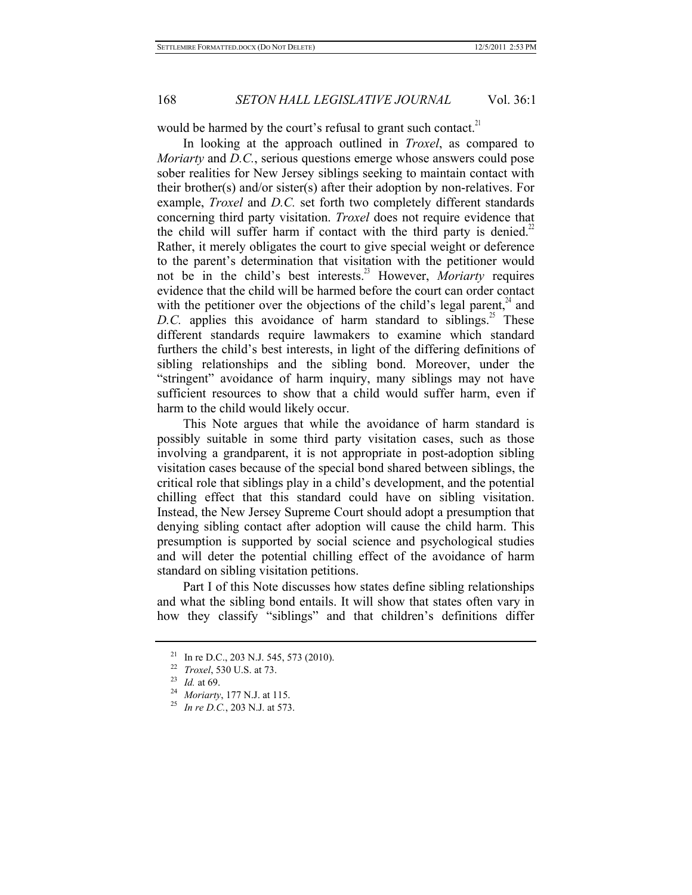would be harmed by the court's refusal to grant such contact.<sup>21</sup>

In looking at the approach outlined in *Troxel*, as compared to *Moriarty* and *D.C.*, serious questions emerge whose answers could pose sober realities for New Jersey siblings seeking to maintain contact with their brother(s) and/or sister(s) after their adoption by non-relatives. For example, *Troxel* and *D.C.* set forth two completely different standards concerning third party visitation. *Troxel* does not require evidence that the child will suffer harm if contact with the third party is denied.<sup>22</sup> Rather, it merely obligates the court to give special weight or deference to the parent's determination that visitation with the petitioner would not be in the child's best interests.<sup>23</sup> However, *Moriarty* requires evidence that the child will be harmed before the court can order contact with the petitioner over the objections of the child's legal parent,  $\mu^4$  and D.C. applies this avoidance of harm standard to siblings.<sup>25</sup> These different standards require lawmakers to examine which standard furthers the child's best interests, in light of the differing definitions of sibling relationships and the sibling bond. Moreover, under the "stringent" avoidance of harm inquiry, many siblings may not have sufficient resources to show that a child would suffer harm, even if harm to the child would likely occur.

This Note argues that while the avoidance of harm standard is possibly suitable in some third party visitation cases, such as those involving a grandparent, it is not appropriate in post-adoption sibling visitation cases because of the special bond shared between siblings, the critical role that siblings play in a child's development, and the potential chilling effect that this standard could have on sibling visitation. Instead, the New Jersey Supreme Court should adopt a presumption that denying sibling contact after adoption will cause the child harm. This presumption is supported by social science and psychological studies and will deter the potential chilling effect of the avoidance of harm standard on sibling visitation petitions.

Part I of this Note discusses how states define sibling relationships and what the sibling bond entails. It will show that states often vary in how they classify "siblings" and that children's definitions differ

<sup>21</sup> In re D.C., 203 N.J. 545, 573 (2010). 22 *Troxel*, 530 U.S. at 73. 23 *Id.* at 69. 24 *Moriarty*, 177 N.J. at 115. 25 *In re D.C.*, 203 N.J. at 573.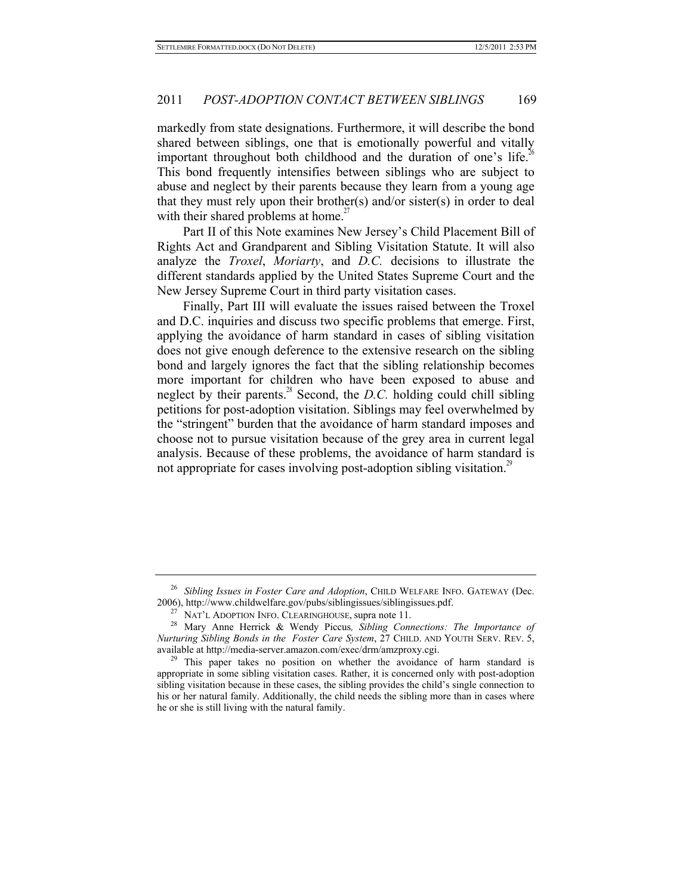markedly from state designations. Furthermore, it will describe the bond shared between siblings, one that is emotionally powerful and vitally important throughout both childhood and the duration of one's life.<sup>26</sup> This bond frequently intensifies between siblings who are subject to abuse and neglect by their parents because they learn from a young age that they must rely upon their brother(s) and/or sister(s) in order to deal with their shared problems at home.<sup>27</sup>

Part II of this Note examines New Jersey's Child Placement Bill of Rights Act and Grandparent and Sibling Visitation Statute. It will also analyze the *Troxel*, *Moriarty*, and *D.C.* decisions to illustrate the different standards applied by the United States Supreme Court and the New Jersey Supreme Court in third party visitation cases.

Finally, Part III will evaluate the issues raised between the Troxel and D.C. inquiries and discuss two specific problems that emerge. First, applying the avoidance of harm standard in cases of sibling visitation does not give enough deference to the extensive research on the sibling bond and largely ignores the fact that the sibling relationship becomes more important for children who have been exposed to abuse and neglect by their parents.<sup>28</sup> Second, the *D.C.* holding could chill sibling petitions for post-adoption visitation. Siblings may feel overwhelmed by the "stringent" burden that the avoidance of harm standard imposes and choose not to pursue visitation because of the grey area in current legal analysis. Because of these problems, the avoidance of harm standard is not appropriate for cases involving post-adoption sibling visitation.<sup>29</sup>

<sup>26</sup> *Sibling Issues in Foster Care and Adoption*, CHILD WELFARE INFO. GATEWAY (Dec. 2006), http://www.childwelfare.gov/pubs/siblingissues/siblingissues.pdf. 27 NAT'L ADOPTION INFO. CLEARINGHOUSE, supra note 11. 28 Mary Anne Herrick & Wendy Piccus*, Sibling Connections: The Importance of* 

*Nurturing Sibling Bonds in the Foster Care System*, 27 CHILD. AND YOUTH SERV. REV. 5, available at http://media-server.amazon.com/exec/drm/amzproxy.cgi.<br><sup>29</sup> This paper takes no position on whether the avoidance of harm standard is

appropriate in some sibling visitation cases. Rather, it is concerned only with post-adoption sibling visitation because in these cases, the sibling provides the child's single connection to his or her natural family. Additionally, the child needs the sibling more than in cases where he or she is still living with the natural family.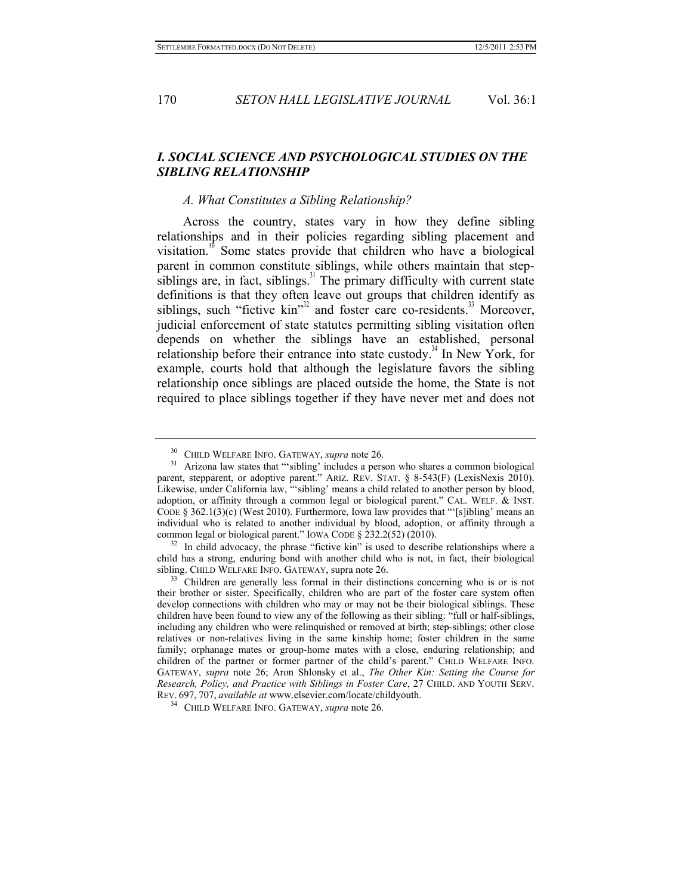## *I. SOCIAL SCIENCE AND PSYCHOLOGICAL STUDIES ON THE SIBLING RELATIONSHIP*

## *A. What Constitutes a Sibling Relationship?*

Across the country, states vary in how they define sibling relationships and in their policies regarding sibling placement and visitation. $30^{\circ}$  Some states provide that children who have a biological parent in common constitute siblings, while others maintain that stepsiblings are, in fact, siblings. $31$  The primary difficulty with current state definitions is that they often leave out groups that children identify as siblings, such "fictive kin"<sup>32</sup> and foster care co-residents.<sup>33</sup> Moreover, judicial enforcement of state statutes permitting sibling visitation often depends on whether the siblings have an established, personal relationship before their entrance into state custody.<sup>34</sup> In New York, for example, courts hold that although the legislature favors the sibling relationship once siblings are placed outside the home, the State is not required to place siblings together if they have never met and does not

 $32$ . In child advocacy, the phrase "fictive kin" is used to describe relationships where a child has a strong, enduring bond with another child who is not, in fact, their biological sibling. CHILD WELFARE INFO. GATEWAY, supra note 26.  $33$  Children are generally less formal in their distinctions concerning who is or is not

<sup>&</sup>lt;sup>30</sup> CHILD WELFARE INFO. GATEWAY, *supra* note 26.<br><sup>31</sup> Arizona law states that ""sibling' includes a person who shares a common biological parent, stepparent, or adoptive parent." ARIZ. REV. STAT. § 8-543(F) (LexisNexis 2010). Likewise, under California law, "'sibling' means a child related to another person by blood, adoption, or affinity through a common legal or biological parent." CAL. WELF. & INST. CODE  $\S 362.1(3)(c)$  (West 2010). Furthermore, Iowa law provides that "'[s]ibling' means an individual who is related to another individual by blood, adoption, or affinity through a common legal or biological parent." IOWA CODE  $\S$  232.2(52) (2010).

their brother or sister. Specifically, children who are part of the foster care system often develop connections with children who may or may not be their biological siblings. These children have been found to view any of the following as their sibling: "full or half-siblings, including any children who were relinquished or removed at birth; step-siblings; other close relatives or non-relatives living in the same kinship home; foster children in the same family; orphanage mates or group-home mates with a close, enduring relationship; and children of the partner or former partner of the child's parent." CHILD WELFARE INFO. GATEWAY, *supra* note 26; Aron Shlonsky et al., *The Other Kin: Setting the Course for Research, Policy, and Practice with Siblings in Foster Care*, 27 CHILD. AND YOUTH SERV. REV. 697, 707, *available at* www.elsevier.com/locate/childyouth. 34 CHILD WELFARE INFO. GATEWAY, *supra* note 26.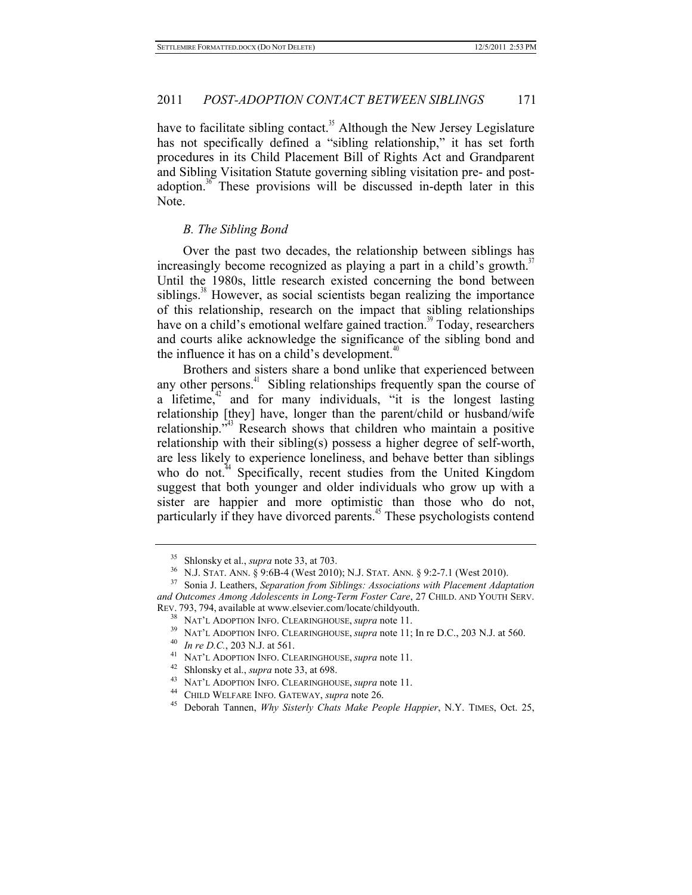have to facilitate sibling contact.<sup>35</sup> Although the New Jersey Legislature has not specifically defined a "sibling relationship," it has set forth procedures in its Child Placement Bill of Rights Act and Grandparent and Sibling Visitation Statute governing sibling visitation pre- and postadoption.<sup>36</sup> These provisions will be discussed in-depth later in this Note.

#### *B. The Sibling Bond*

Over the past two decades, the relationship between siblings has increasingly become recognized as playing a part in a child's growth.<sup>37</sup> Until the 1980s, little research existed concerning the bond between siblings.<sup>38</sup> However, as social scientists began realizing the importance of this relationship, research on the impact that sibling relationships have on a child's emotional welfare gained traction.<sup>39</sup> Today, researchers and courts alike acknowledge the significance of the sibling bond and the influence it has on a child's development. $40$ 

Brothers and sisters share a bond unlike that experienced between any other persons. $41$  Sibling relationships frequently span the course of a lifetime, $42$  and for many individuals, "it is the longest lasting relationship [they] have, longer than the parent/child or husband/wife relationship."<sup>43</sup> Research shows that children who maintain a positive relationship with their sibling(s) possess a higher degree of self-worth, are less likely to experience loneliness, and behave better than siblings who do not.<sup>44</sup> Specifically, recent studies from the United Kingdom suggest that both younger and older individuals who grow up with a sister are happier and more optimistic than those who do not, particularly if they have divorced parents.<sup>45</sup> These psychologists contend

<sup>&</sup>lt;sup>35</sup> Shlonsky et al., *supra* note 33, at 703.<br><sup>36</sup> N.J. STAT. ANN. § 9:6B-4 (West 2010); N.J. STAT. ANN. § 9:2-7.1 (West 2010).<br><sup>37</sup> Sonia J. Leathers, *Separation from Siblings: Associations with Placement Adaptation and Outcomes Among Adolescents in Long-Term Foster Care*, 27 CHILD. AND YOUTH SERV.

REV. 793, 794, available at www.elsevier.com/locate/childyouth.<br>
<sup>38</sup> NAT'L ADOPTION INFO. CLEARINGHOUSE, *supra* note 11.<br>
<sup>39</sup> NAT'L ADOPTION INFO. CLEARINGHOUSE, *supra* note 11; In re D.C., 203 N.J. at 560.<br>
<sup>40</sup> In re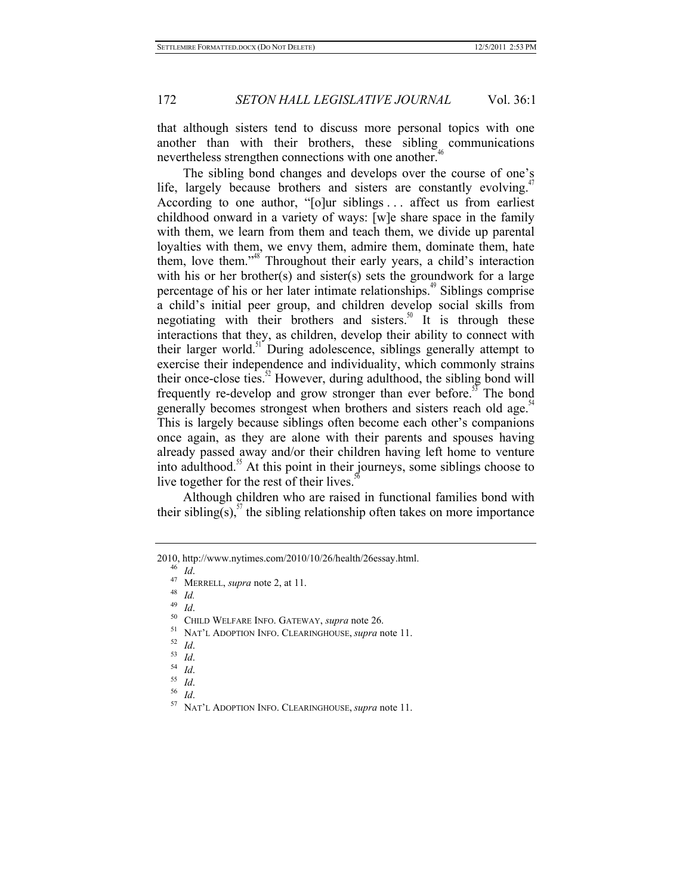that although sisters tend to discuss more personal topics with one another than with their brothers, these sibling communications nevertheless strengthen connections with one another.<sup>46</sup>

The sibling bond changes and develops over the course of one's life, largely because brothers and sisters are constantly evolving.<sup>47</sup> According to one author, "[o]ur siblings . . . affect us from earliest childhood onward in a variety of ways: [w]e share space in the family with them, we learn from them and teach them, we divide up parental loyalties with them, we envy them, admire them, dominate them, hate them, love them."48 Throughout their early years, a child's interaction with his or her brother(s) and sister(s) sets the groundwork for a large percentage of his or her later intimate relationships. $49$  Siblings comprise a child's initial peer group, and children develop social skills from negotiating with their brothers and sisters.<sup>50</sup> It is through these interactions that they, as children, develop their ability to connect with their larger world.<sup>51</sup> During adolescence, siblings generally attempt to exercise their independence and individuality, which commonly strains their once-close ties. $^{22}$  However, during adulthood, the sibling bond will frequently re-develop and grow stronger than ever before.<sup>55</sup> The bond generally becomes strongest when brothers and sisters reach old age.<sup>34</sup> This is largely because siblings often become each other's companions once again, as they are alone with their parents and spouses having already passed away and/or their children having left home to venture into adulthood.<sup>55</sup> At this point in their journeys, some siblings choose to live together for the rest of their lives.<sup>5</sup>

Although children who are raised in functional families bond with their sibling(s),  $57$  the sibling relationship often takes on more importance

<sup>50</sup> CHILD WELFARE INFO. GATEWAY, *supra* note 26.<br>
<sup>51</sup> NAT'L ADOPTION INFO. CLEARINGHOUSE, *supra* note 11.<br>
<sup>52</sup> Id.<br>
<sup>53</sup> Id.<br>
<sup>54</sup> Id.<br>
<sup>55</sup> Id.<br>
<sup>55</sup> Id.<br>
<sup>57</sup> NAT'L ADOPTION INFO. CLEARINGHOUSE, *supra* note 11.

- 
- 
- 
- 
- 

<sup>2010,</sup> http://www.nytimes.com/2010/10/26/health/26essay.html. 46 *Id*. 47 MERRELL, *supra* note 2, at 11. 48 *Id.*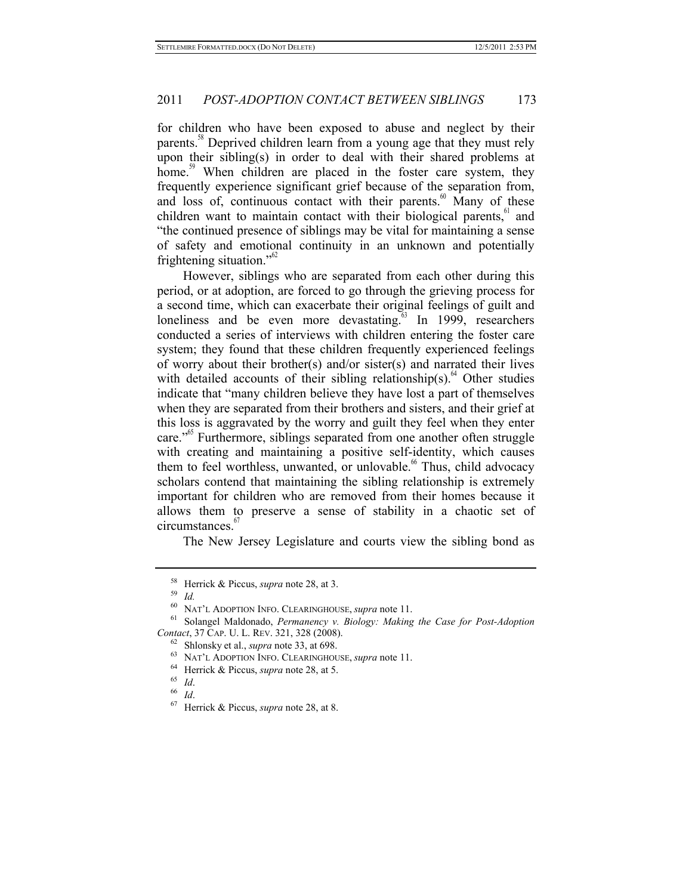for children who have been exposed to abuse and neglect by their parents.<sup>38</sup> Deprived children learn from a young age that they must rely upon their sibling(s) in order to deal with their shared problems at home.<sup>39</sup> When children are placed in the foster care system, they frequently experience significant grief because of the separation from, and loss of, continuous contact with their parents. $60$  Many of these children want to maintain contact with their biological parents, $\frac{61}{1}$  and "the continued presence of siblings may be vital for maintaining a sense of safety and emotional continuity in an unknown and potentially frightening situation." $b^{\text{62}}$ 

However, siblings who are separated from each other during this period, or at adoption, are forced to go through the grieving process for a second time, which can exacerbate their original feelings of guilt and loneliness and be even more devastating.<sup>63</sup> In 1999, researchers conducted a series of interviews with children entering the foster care system; they found that these children frequently experienced feelings of worry about their brother(s) and/or sister(s) and narrated their lives with detailed accounts of their sibling relationship(s).<sup>64</sup> Other studies indicate that "many children believe they have lost a part of themselves when they are separated from their brothers and sisters, and their grief at this loss is aggravated by the worry and guilt they feel when they enter care."<sup>65</sup> Furthermore, siblings separated from one another often struggle with creating and maintaining a positive self-identity, which causes them to feel worthless, unwanted, or unlovable.<sup>66</sup> Thus, child advocacy scholars contend that maintaining the sibling relationship is extremely important for children who are removed from their homes because it allows them to preserve a sense of stability in a chaotic set of circumstances.<sup>6</sup>

The New Jersey Legislature and courts view the sibling bond as

<sup>58</sup> Herrick & Piccus, *supra* note 28, at 3. 59 *Id.*

<sup>60</sup> NAT'L ADOPTION INFO. CLEARINGHOUSE, *supra* note 11. 61 Solangel Maldonado, *Permanency v. Biology: Making the Case for Post-Adoption*  Contact, 37 CAP. U. L. REV. 321, 328 (2008).<br>
<sup>62</sup> Shlonsky et al., *supra* note 33, at 698.<br>
<sup>63</sup> NAT'L ADOPTION INFO. CLEARINGHOUSE, *supra* note 11.<br>
<sup>64</sup> Herrick & Piccus, *supra* note 28, at 5.<br>
<sup>65</sup> Id.<br>
<sup>66</sup> Id.<br>
<sup></sup>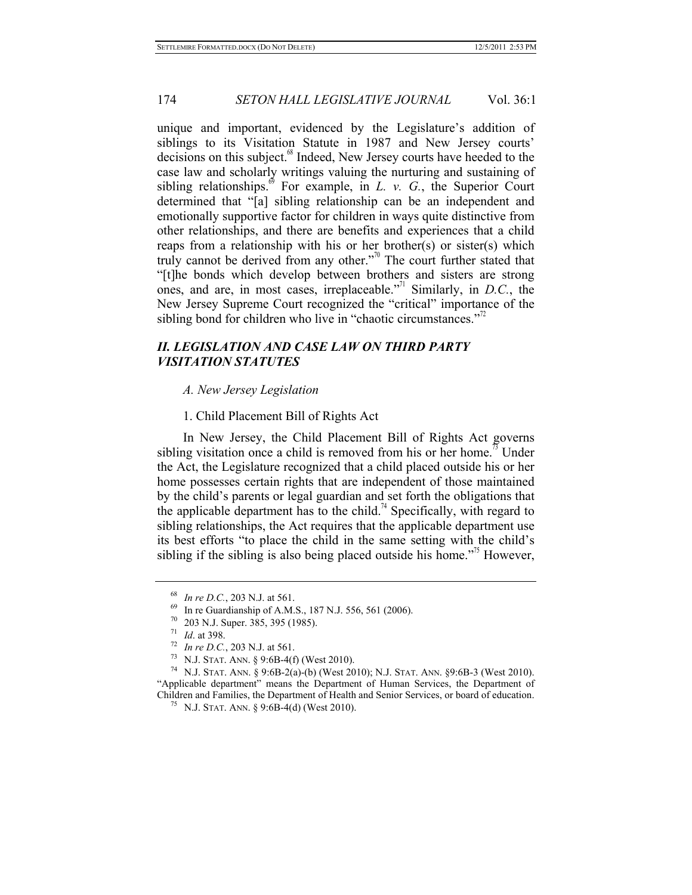unique and important, evidenced by the Legislature's addition of siblings to its Visitation Statute in 1987 and New Jersey courts' decisions on this subject.<sup>68</sup> Indeed, New Jersey courts have heeded to the case law and scholarly writings valuing the nurturing and sustaining of sibling relationships.<sup> $\theta$ </sup> For example, in *L. v. G.*, the Superior Court determined that "[a] sibling relationship can be an independent and emotionally supportive factor for children in ways quite distinctive from other relationships, and there are benefits and experiences that a child reaps from a relationship with his or her brother(s) or sister(s) which truly cannot be derived from any other."<sup>70</sup> The court further stated that "[t]he bonds which develop between brothers and sisters are strong ones, and are, in most cases, irreplaceable."71 Similarly, in *D.C.*, the New Jersey Supreme Court recognized the "critical" importance of the sibling bond for children who live in "chaotic circumstances."<sup> $2$ </sup>

# *II. LEGISLATION AND CASE LAW ON THIRD PARTY VISITATION STATUTES*

#### *A. New Jersey Legislation*

1. Child Placement Bill of Rights Act

In New Jersey, the Child Placement Bill of Rights Act governs sibling visitation once a child is removed from his or her home.<sup>35</sup> Under the Act, the Legislature recognized that a child placed outside his or her home possesses certain rights that are independent of those maintained by the child's parents or legal guardian and set forth the obligations that the applicable department has to the child.<sup>74</sup> Specifically, with regard to sibling relationships, the Act requires that the applicable department use its best efforts "to place the child in the same setting with the child's sibling if the sibling is also being placed outside his home."<sup> $5$ </sup> However,

<sup>&</sup>lt;sup>68</sup> *In re D.C.*, 203 N.J. at 561.<br>
<sup>69</sup> In re Guardianship of A.M.S., 187 N.J. 556, 561 (2006).<br>
<sup>70</sup> 203 N.J. Super. 385, 395 (1985).<br>
<sup>71</sup> *Id.* at 398.<br>
<sup>72</sup> *In re D.C.*, 203 N.J. at 561.<br>
<sup>73</sup> N.J. STAT. ANN. § 9:6 "Applicable department" means the Department of Human Services, the Department of Children and Families, the Department of Health and Senior Services, or board of education. 75 N.J. STAT. ANN. § 9:6B-4(d) (West 2010).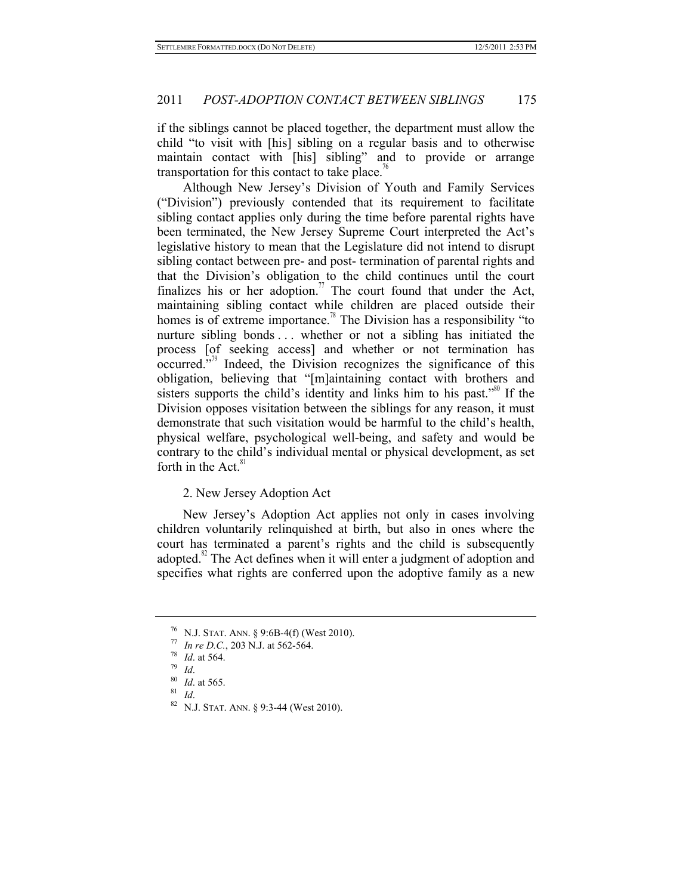if the siblings cannot be placed together, the department must allow the child "to visit with [his] sibling on a regular basis and to otherwise maintain contact with [his] sibling" and to provide or arrange transportation for this contact to take place.<sup> $6$ </sup>

Although New Jersey's Division of Youth and Family Services ("Division") previously contended that its requirement to facilitate sibling contact applies only during the time before parental rights have been terminated, the New Jersey Supreme Court interpreted the Act's legislative history to mean that the Legislature did not intend to disrupt sibling contact between pre- and post- termination of parental rights and that the Division's obligation to the child continues until the court finalizes his or her adoption.<sup> $\theta$ </sup> The court found that under the Act, maintaining sibling contact while children are placed outside their homes is of extreme importance.<sup>78</sup> The Division has a responsibility "to nurture sibling bonds ... whether or not a sibling has initiated the process [of seeking access] and whether or not termination has  $\overline{\text{occurred}}$ .<sup>79</sup> Indeed, the Division recognizes the significance of this obligation, believing that "[m]aintaining contact with brothers and sisters supports the child's identity and links him to his past."<sup>80</sup> If the Division opposes visitation between the siblings for any reason, it must demonstrate that such visitation would be harmful to the child's health, physical welfare, psychological well-being, and safety and would be contrary to the child's individual mental or physical development, as set forth in the Act. $81$ 

#### 2. New Jersey Adoption Act

New Jersey's Adoption Act applies not only in cases involving children voluntarily relinquished at birth, but also in ones where the court has terminated a parent's rights and the child is subsequently adopted. $82$  The Act defines when it will enter a judgment of adoption and specifies what rights are conferred upon the adoptive family as a new

<sup>76</sup> N.J. STAT. ANN. § 9:6B-4(f) (West 2010).<br>
77 *In re D.C.*, 203 N.J. at 562-564.<br>
78 *Id.* at 564.<br>
80 *Id.* at 565.<br>
81 *Id.* 82 N.J. STAT. ANN. § 9:3-44 (West 2010).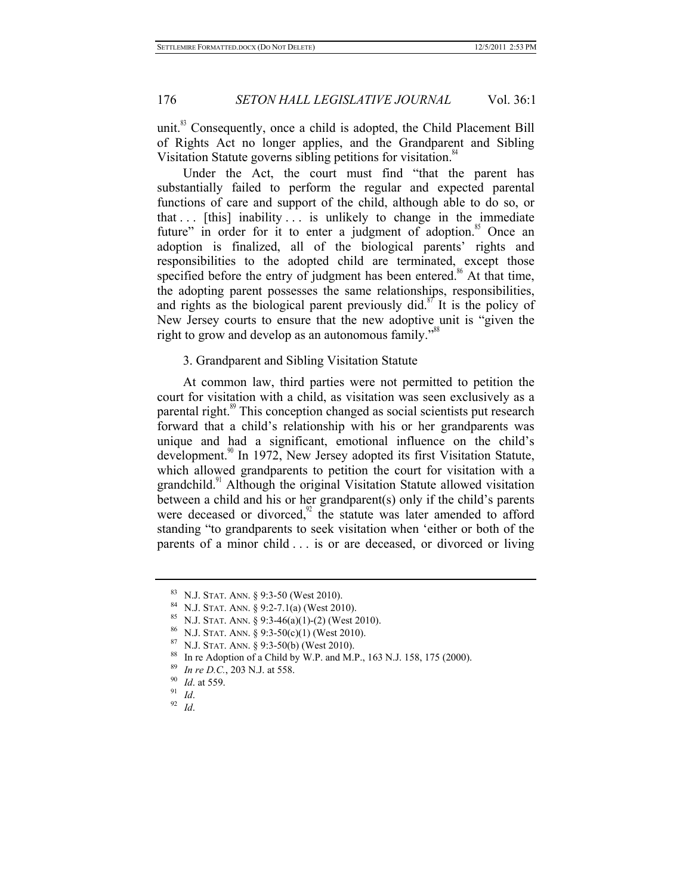unit. $83$  Consequently, once a child is adopted, the Child Placement Bill of Rights Act no longer applies, and the Grandparent and Sibling Visitation Statute governs sibling petitions for visitation.<sup>84</sup>

Under the Act, the court must find "that the parent has substantially failed to perform the regular and expected parental functions of care and support of the child, although able to do so, or that  $\ldots$  [this] inability  $\ldots$  is unlikely to change in the immediate future" in order for it to enter a judgment of adoption.<sup>85</sup> Once an adoption is finalized, all of the biological parents' rights and responsibilities to the adopted child are terminated, except those specified before the entry of judgment has been entered.<sup>86</sup> At that time, the adopting parent possesses the same relationships, responsibilities, and rights as the biological parent previously did.<sup>87</sup> It is the policy of New Jersey courts to ensure that the new adoptive unit is "given the right to grow and develop as an autonomous family."<sup>8</sup>

#### 3. Grandparent and Sibling Visitation Statute

At common law, third parties were not permitted to petition the court for visitation with a child, as visitation was seen exclusively as a parental right.<sup>89</sup> This conception changed as social scientists put research forward that a child's relationship with his or her grandparents was unique and had a significant, emotional influence on the child's development.<sup>90</sup> In 1972, New Jersey adopted its first Visitation Statute, which allowed grandparents to petition the court for visitation with a grandchild.<sup>91</sup> Although the original Visitation Statute allowed visitation between a child and his or her grandparent(s) only if the child's parents were deceased or divorced, $92$  the statute was later amended to afford standing "to grandparents to seek visitation when 'either or both of the parents of a minor child . . . is or are deceased, or divorced or living

<sup>&</sup>lt;sup>83</sup> N.J. STAT. ANN. § 9:3-50 (West 2010).<br><sup>84</sup> N.J. STAT. ANN. § 9:2-7.1(a) (West 2010).<br><sup>85</sup> N.J. STAT. ANN. § 9:3-46(a)(1)-(2) (West 2010).<br><sup>86</sup> N.J. STAT. ANN. § 9:3-50(c)(1) (West 2010).<br><sup>87</sup> N.J. STAT. ANN. § 9:3-50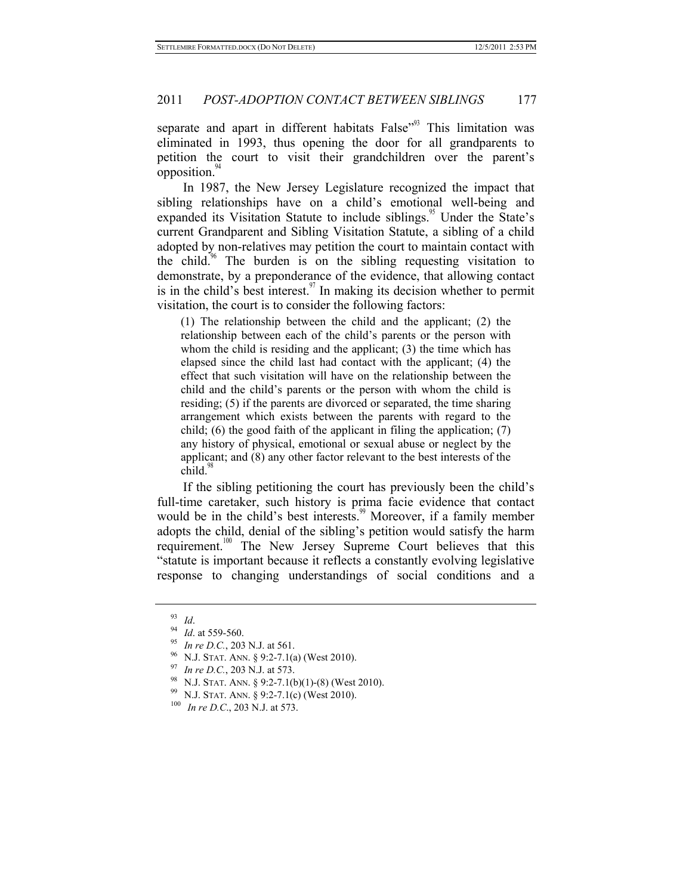separate and apart in different habitats False<sup>"93</sup> This limitation was eliminated in 1993, thus opening the door for all grandparents to petition the court to visit their grandchildren over the parent's opposition.

In 1987, the New Jersey Legislature recognized the impact that sibling relationships have on a child's emotional well-being and expanded its Visitation Statute to include siblings.<sup>95</sup> Under the State's current Grandparent and Sibling Visitation Statute, a sibling of a child adopted by non-relatives may petition the court to maintain contact with the child.<sup>96</sup> The burden is on the sibling requesting visitation to demonstrate, by a preponderance of the evidence, that allowing contact is in the child's best interest.<sup>97</sup> In making its decision whether to permit visitation, the court is to consider the following factors:

(1) The relationship between the child and the applicant; (2) the relationship between each of the child's parents or the person with whom the child is residing and the applicant; (3) the time which has elapsed since the child last had contact with the applicant; (4) the effect that such visitation will have on the relationship between the child and the child's parents or the person with whom the child is residing; (5) if the parents are divorced or separated, the time sharing arrangement which exists between the parents with regard to the child; (6) the good faith of the applicant in filing the application; (7) any history of physical, emotional or sexual abuse or neglect by the applicant; and (8) any other factor relevant to the best interests of the  $child<sup>9</sup>$ 

If the sibling petitioning the court has previously been the child's full-time caretaker, such history is prima facie evidence that contact would be in the child's best interests.<sup>99</sup> Moreover, if a family member adopts the child, denial of the sibling's petition would satisfy the harm requirement.<sup>100</sup> The New Jersey Supreme Court believes that this "statute is important because it reflects a constantly evolving legislative response to changing understandings of social conditions and a

<sup>&</sup>lt;sup>93</sup> *Id.*<br>
<sup>94</sup> *Id.* at 559-560.<br>
<sup>95</sup> *In re D.C.*, 203 N.J. at 561.<br>
<sup>96</sup> N.J. STAT. ANN. § 9:2-7.1(a) (West 2010).<br>
<sup>97</sup> *In re D.C.*, 203 N.J. at 573.<br>
<sup>98</sup> N.J. STAT. ANN. § 9:2-7.1(b)(1)-(8) (West 2010).<br>
<sup>99</sup> N.J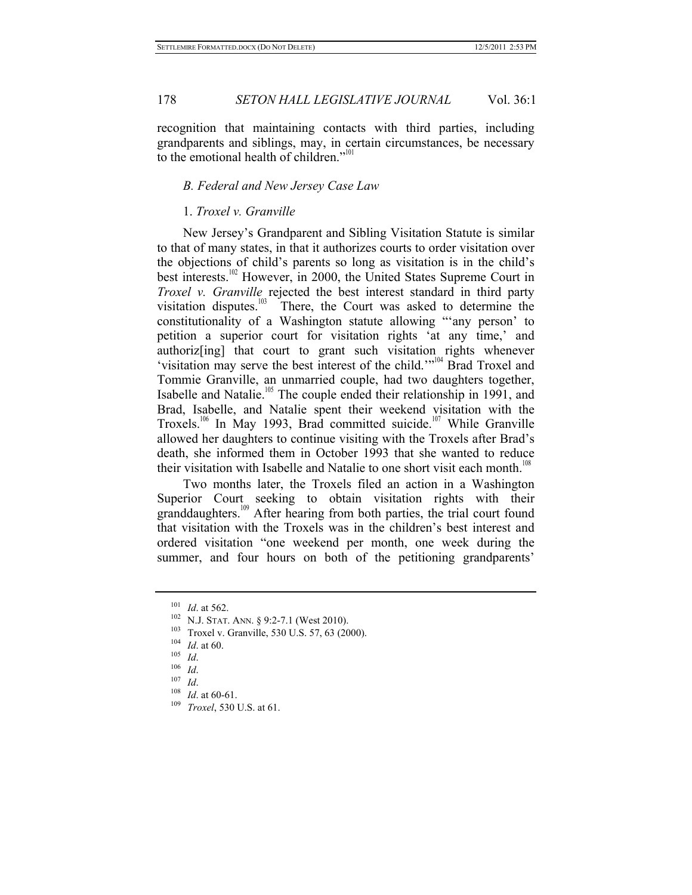recognition that maintaining contacts with third parties, including grandparents and siblings, may, in certain circumstances, be necessary to the emotional health of children."<sup>101</sup>

## *B. Federal and New Jersey Case Law*

#### 1. *Troxel v. Granville*

New Jersey's Grandparent and Sibling Visitation Statute is similar to that of many states, in that it authorizes courts to order visitation over the objections of child's parents so long as visitation is in the child's best interests.<sup>102</sup> However, in 2000, the United States Supreme Court in *Troxel v. Granville* rejected the best interest standard in third party visitation disputes. $103$  There, the Court was asked to determine the constitutionality of a Washington statute allowing "'any person' to petition a superior court for visitation rights 'at any time,' and authoriz[ing] that court to grant such visitation rights whenever 'visitation may serve the best interest of the child.'"<sup>104</sup> Brad Troxel and Tommie Granville, an unmarried couple, had two daughters together, Isabelle and Natalie.<sup>105</sup> The couple ended their relationship in 1991, and Brad, Isabelle, and Natalie spent their weekend visitation with the Troxels.<sup>106</sup> In May 1993, Brad committed suicide.<sup>107</sup> While Granville allowed her daughters to continue visiting with the Troxels after Brad's death, she informed them in October 1993 that she wanted to reduce their visitation with Isabelle and Natalie to one short visit each month.<sup>108</sup>

Two months later, the Troxels filed an action in a Washington Superior Court seeking to obtain visitation rights with their granddaughters.<sup>109</sup> After hearing from both parties, the trial court found that visitation with the Troxels was in the children's best interest and ordered visitation "one weekend per month, one week during the summer, and four hours on both of the petitioning grandparents'

<sup>&</sup>lt;sup>101</sup> *Id.* at 562.<br>
<sup>102</sup> N.J. STAT. ANN. § 9:2-7.1 (West 2010).<br>
<sup>103</sup> Troxel v. Granville, 530 U.S. 57, 63 (2000).<br>
<sup>104</sup> *Id.*<br>
<sup>105</sup> *Id.*<br>
<sup>107</sup> *Id.*<br>
<sup>107</sup> *Id.*<br>
<sup>104</sup> *Id.*<br>
<sup>107</sup> *Id.*<br>
<sup>104</sup> *Id.*<br>
<sup>107</sup> *Id.*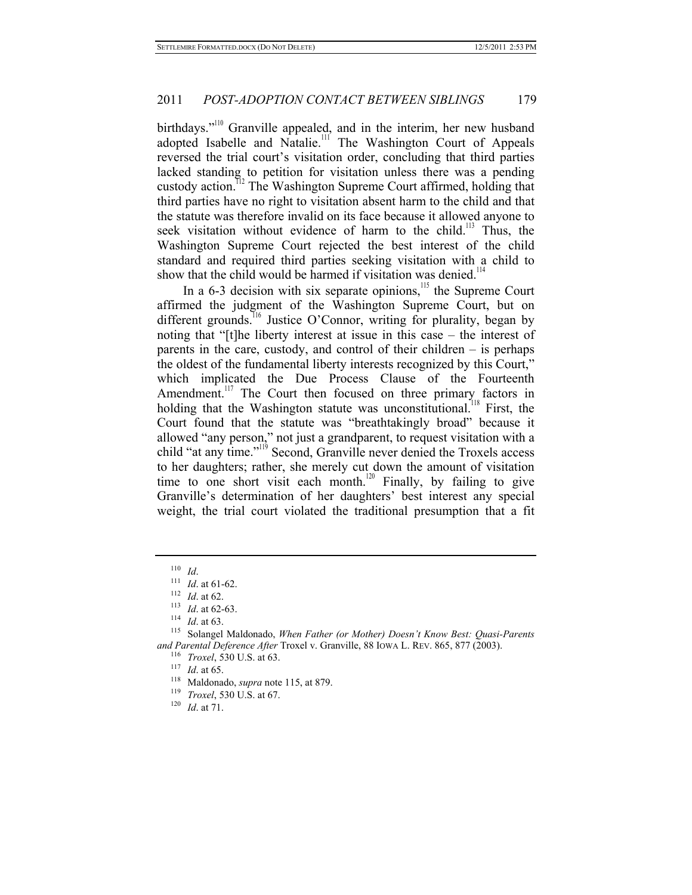birthdays."<sup>110</sup> Granville appealed, and in the interim, her new husband adopted Isabelle and Natalie.<sup>111</sup> The Washington Court of Appeals reversed the trial court's visitation order, concluding that third parties lacked standing to petition for visitation unless there was a pending custody action.112 The Washington Supreme Court affirmed, holding that third parties have no right to visitation absent harm to the child and that the statute was therefore invalid on its face because it allowed anyone to seek visitation without evidence of harm to the child.<sup>113</sup> Thus, the Washington Supreme Court rejected the best interest of the child standard and required third parties seeking visitation with a child to show that the child would be harmed if visitation was denied.<sup>11</sup>

In a  $6-3$  decision with six separate opinions,<sup>115</sup> the Supreme Court affirmed the judgment of the Washington Supreme Court, but on different grounds.<sup>116</sup> Justice O'Connor, writing for plurality, began by noting that "[t]he liberty interest at issue in this case – the interest of parents in the care, custody, and control of their children – is perhaps the oldest of the fundamental liberty interests recognized by this Court," which implicated the Due Process Clause of the Fourteenth Amendment.<sup>117</sup> The Court then focused on three primary factors in holding that the Washington statute was unconstitutional.<sup>118</sup> First, the Court found that the statute was "breathtakingly broad" because it allowed "any person," not just a grandparent, to request visitation with a child "at any time."119 Second, Granville never denied the Troxels access to her daughters; rather, she merely cut down the amount of visitation time to one short visit each month.<sup>120</sup> Finally, by failing to give Granville's determination of her daughters' best interest any special weight, the trial court violated the traditional presumption that a fit

- 
- 

<sup>110</sup> *Id.*<br>
<sup>111</sup> *Id.* at 61-62.<br>
<sup>112</sup> *Id.* at 62-63.<br>
<sup>114</sup> *Id.* at 63.<br>
<sup>115</sup> Solangel Maldonado, *When Father (or Mother) Doesn't Know Best: Quasi-Parents* and Parental Deference After Troxel v. Granville, 88 Iowa L. REV. 865, 877 (2003).<br>
<sup>116</sup> *Troxel*, 530 U.S. at 63.<br>
<sup>117</sup> *Id.* at 65.<br>
<sup>118</sup> Maldonado, *supra* note 115, at 879.<br>
<sup>119</sup> *Troxel*, 530 U.S. at 67.<br>
<sup>119</sup>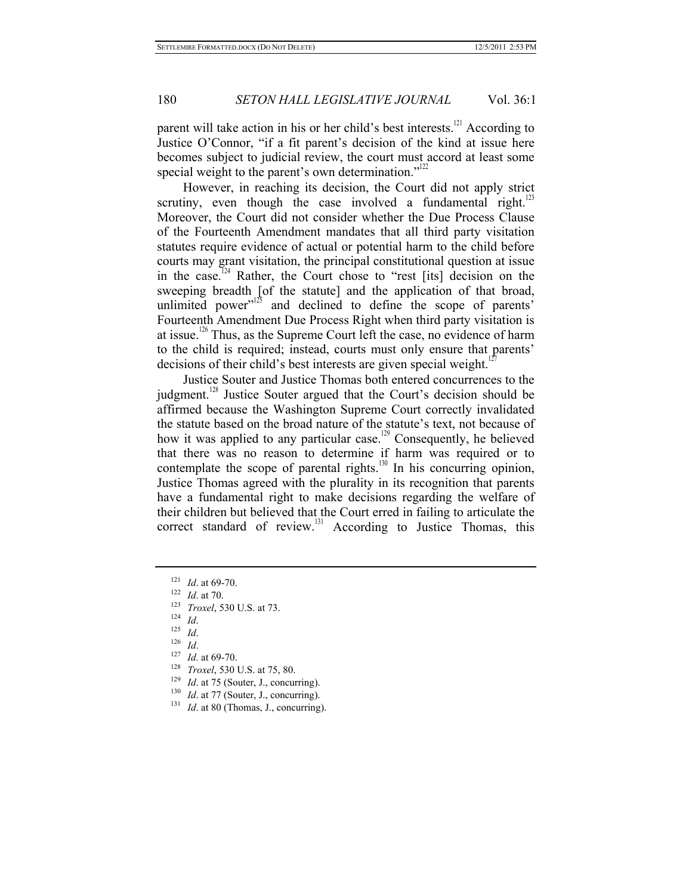parent will take action in his or her child's best interests.<sup>121</sup> According to Justice O'Connor, "if a fit parent's decision of the kind at issue here becomes subject to judicial review, the court must accord at least some special weight to the parent's own determination."<sup>122</sup>

However, in reaching its decision, the Court did not apply strict scrutiny, even though the case involved a fundamental right.<sup>123</sup> Moreover, the Court did not consider whether the Due Process Clause of the Fourteenth Amendment mandates that all third party visitation statutes require evidence of actual or potential harm to the child before courts may grant visitation, the principal constitutional question at issue in the case.<sup> $124$ </sup> Rather, the Court chose to "rest [its] decision on the sweeping breadth [of the statute] and the application of that broad, unlimited power"<sup>125</sup> and declined to define the scope of parents' Fourteenth Amendment Due Process Right when third party visitation is at issue.<sup>126</sup> Thus, as the Supreme Court left the case, no evidence of harm to the child is required; instead, courts must only ensure that parents' decisions of their child's best interests are given special weight.<sup>1</sup>

Justice Souter and Justice Thomas both entered concurrences to the judgment.<sup>128</sup> Justice Souter argued that the Court's decision should be affirmed because the Washington Supreme Court correctly invalidated the statute based on the broad nature of the statute's text, not because of how it was applied to any particular case.<sup>129</sup> Consequently, he believed that there was no reason to determine if harm was required or to contemplate the scope of parental rights.<sup>130</sup> In his concurring opinion, Justice Thomas agreed with the plurality in its recognition that parents have a fundamental right to make decisions regarding the welfare of their children but believed that the Court erred in failing to articulate the correct standard of review.<sup>131</sup> According to Justice Thomas, this

- 
- 
- 
- 
- 
- 
- <sup>121</sup> *Id.* at 69-70.<br>
<sup>122</sup> *Id.* at 70.<br>
<sup>123</sup> *Troxel*, 530 U.S. at 73.<br>
<sup>124</sup> *Id.*<br>
<sup>125</sup> *Id. Id.*<br>
<sup>127</sup> *Id.* at 69-70.<br>
<sup>128</sup> *Troxel*, 530 U.S. at 75, 80.<br>
<sup>129</sup> *Id.* at 75 (Souter, J., concurring).<br>
<sup>130</sup> *I*
- 
-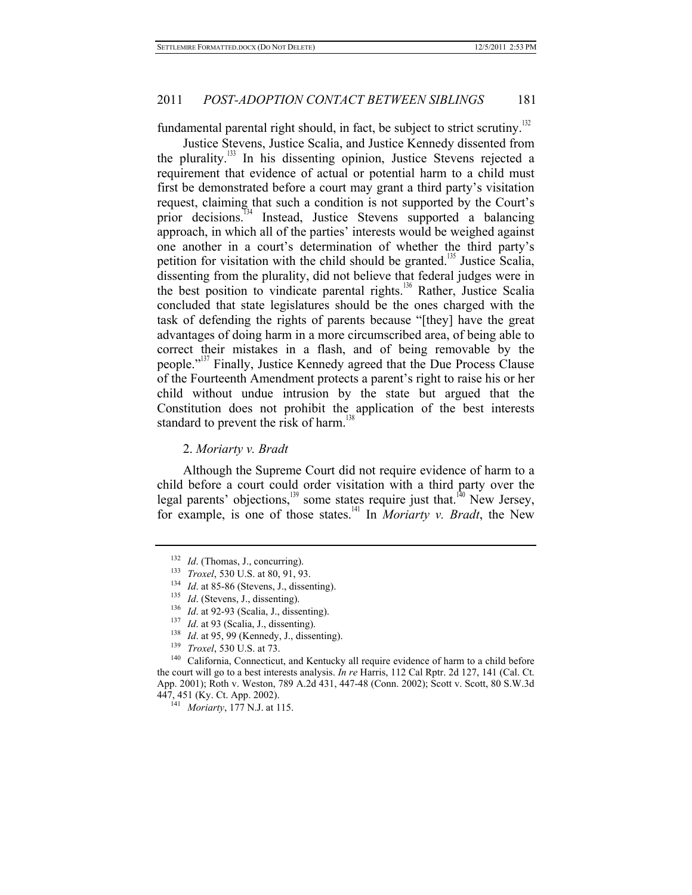fundamental parental right should, in fact, be subject to strict scrutiny.<sup>132</sup>

Justice Stevens, Justice Scalia, and Justice Kennedy dissented from the plurality.<sup>133</sup> In his dissenting opinion, Justice Stevens rejected a requirement that evidence of actual or potential harm to a child must first be demonstrated before a court may grant a third party's visitation request, claiming that such a condition is not supported by the Court's prior decisions.<sup>134</sup> Instead, Justice Stevens supported a balancing approach, in which all of the parties' interests would be weighed against one another in a court's determination of whether the third party's petition for visitation with the child should be granted.<sup>135</sup> Justice Scalia, dissenting from the plurality, did not believe that federal judges were in the best position to vindicate parental rights.<sup>136</sup> Rather, Justice Scalia concluded that state legislatures should be the ones charged with the task of defending the rights of parents because "[they] have the great advantages of doing harm in a more circumscribed area, of being able to correct their mistakes in a flash, and of being removable by the people."<sup>137</sup> Finally, Justice Kennedy agreed that the Due Process Clause of the Fourteenth Amendment protects a parent's right to raise his or her child without undue intrusion by the state but argued that the Constitution does not prohibit the application of the best interests standard to prevent the risk of harm.<sup>13</sup>

#### 2. *Moriarty v. Bradt*

Although the Supreme Court did not require evidence of harm to a child before a court could order visitation with a third party over the legal parents' objections,<sup>139</sup> some states require just that.<sup>140</sup> New Jersey, for example, is one of those states.141 In *Moriarty v. Bradt*, the New

<sup>&</sup>lt;sup>132</sup> *Id.* (Thomas, J., concurring).<br>
<sup>133</sup> *Troxel*, 530 U.S. at 80, 91, 93.<br>
<sup>134</sup> *Id.* at 85-86 (Stevens, J., dissenting).<br>
<sup>135</sup> *Id.* at 92-93 (Scalia, J., dissenting).<br>
<sup>137</sup> *Id.* at 92-93 (Scalia, J., dissenting the court will go to a best interests analysis. *In re* Harris, 112 Cal Rptr. 2d 127, 141 (Cal. Ct. App. 2001); Roth v. Weston, 789 A.2d 431, 447-48 (Conn. 2002); Scott v. Scott, 80 S.W.3d 447, 451 (Ky. Ct. App. 2002). 141 *Moriarty*, 177 N.J. at 115.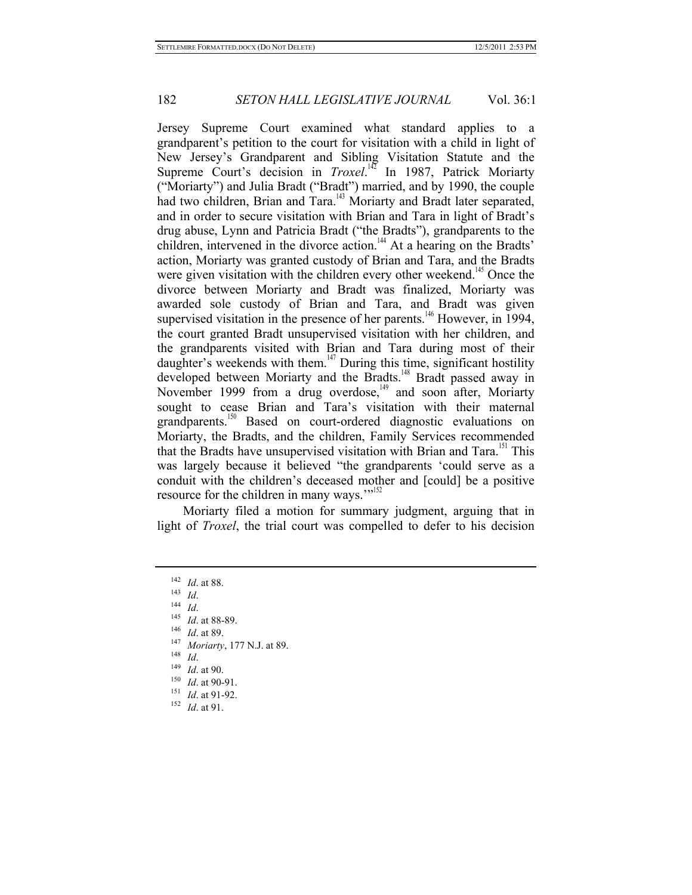Jersey Supreme Court examined what standard applies to a grandparent's petition to the court for visitation with a child in light of New Jersey's Grandparent and Sibling Visitation Statute and the Supreme Court's decision in *Troxel*.<sup>142</sup> In 1987, Patrick Moriarty ("Moriarty") and Julia Bradt ("Bradt") married, and by 1990, the couple had two children, Brian and Tara.<sup>143</sup> Moriarty and Bradt later separated, and in order to secure visitation with Brian and Tara in light of Bradt's drug abuse, Lynn and Patricia Bradt ("the Bradts"), grandparents to the children, intervened in the divorce action.<sup>144</sup> At a hearing on the Bradts' action, Moriarty was granted custody of Brian and Tara, and the Bradts were given visitation with the children every other weekend.<sup>145</sup> Once the divorce between Moriarty and Bradt was finalized, Moriarty was awarded sole custody of Brian and Tara, and Bradt was given supervised visitation in the presence of her parents.<sup>146</sup> However, in 1994, the court granted Bradt unsupervised visitation with her children, and the grandparents visited with Brian and Tara during most of their daughter's weekends with them.<sup>147</sup> During this time, significant hostility developed between Moriarty and the Bradts.<sup>148</sup> Bradt passed away in November 1999 from a drug overdose,<sup>149</sup> and soon after, Moriarty sought to cease Brian and Tara's visitation with their maternal grandparents.<sup>150</sup> Based on court-ordered diagnostic evaluations on Moriarty, the Bradts, and the children, Family Services recommended that the Bradts have unsupervised visitation with Brian and Tara.<sup>151</sup> This was largely because it believed "the grandparents 'could serve as a conduit with the children's deceased mother and [could] be a positive resource for the children in many ways."<sup>152</sup>

Moriarty filed a motion for summary judgment, arguing that in light of *Troxel*, the trial court was compelled to defer to his decision

- <sup>142</sup> *Id.* at 88.<br>
<sup>143</sup> *Id.*<br>
<sup>143</sup> *Id.* at 88-89.<br>
<sup>146</sup> *Id.* at 89.<br>
<sup>147</sup> *Moriarty*, 177 N.J. at 89.<br>
<sup>147</sup> *Id.* at 90.<br> *Id.* at 90-91.<br>
<sup>151</sup> *Id.* at 91-92.<br>
<sup>152</sup> *Id.* at 91-92.
-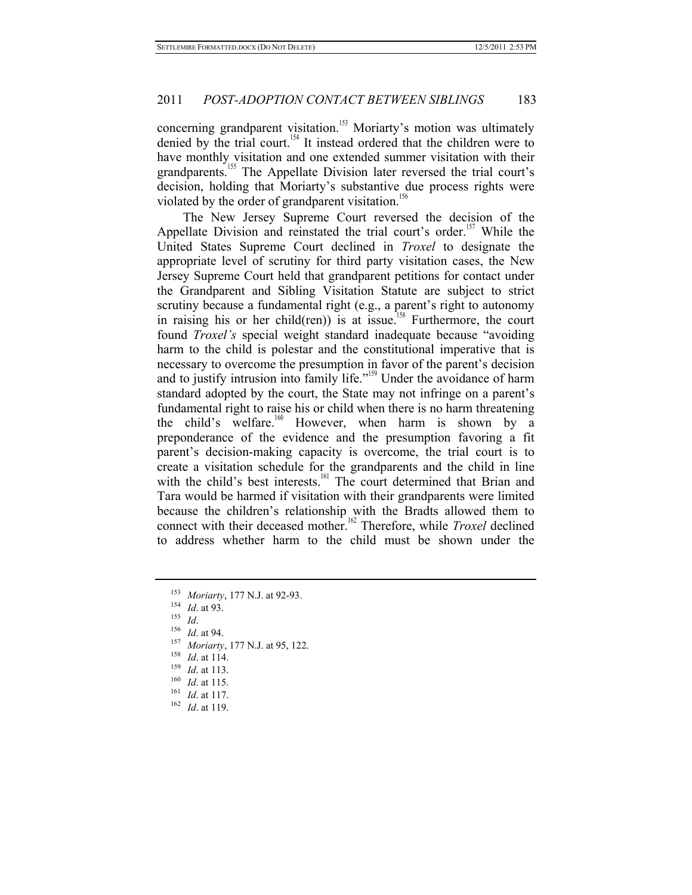concerning grandparent visitation.<sup>153</sup> Moriarty's motion was ultimately denied by the trial court.<sup>154</sup> It instead ordered that the children were to have monthly visitation and one extended summer visitation with their grandparents.<sup>155</sup> The Appellate Division later reversed the trial court's decision, holding that Moriarty's substantive due process rights were violated by the order of grandparent visitation.<sup>156</sup>

The New Jersey Supreme Court reversed the decision of the Appellate Division and reinstated the trial court's order.<sup>157</sup> While the United States Supreme Court declined in *Troxel* to designate the appropriate level of scrutiny for third party visitation cases, the New Jersey Supreme Court held that grandparent petitions for contact under the Grandparent and Sibling Visitation Statute are subject to strict scrutiny because a fundamental right (e.g., a parent's right to autonomy in raising his or her child(ren)) is at issue.<sup>158</sup> Furthermore, the court found *Troxel's* special weight standard inadequate because "avoiding harm to the child is polestar and the constitutional imperative that is necessary to overcome the presumption in favor of the parent's decision and to justify intrusion into family life."<sup>159</sup> Under the avoidance of harm standard adopted by the court, the State may not infringe on a parent's fundamental right to raise his or child when there is no harm threatening the child's welfare.<sup>160</sup> However, when harm is shown by a preponderance of the evidence and the presumption favoring a fit parent's decision-making capacity is overcome, the trial court is to create a visitation schedule for the grandparents and the child in line with the child's best interests.<sup>161</sup> The court determined that Brian and Tara would be harmed if visitation with their grandparents were limited because the children's relationship with the Bradts allowed them to connect with their deceased mother.<sup>162</sup> Therefore, while *Troxel* declined to address whether harm to the child must be shown under the

- <sup>153</sup> Moriarty, 177 N.J. at 92-93.<br>
<sup>154</sup> *Id.* at 93.<br>
<sup>155</sup> *Id.*<br>
<sup>155</sup> *Id.*<br>
<sup>156</sup> *Id.* at 94.<br>
<sup>157</sup> Moriarty, 177 N.J. at 95, 122.<br>
<sup>158</sup> *Id.* at 114.<br>
<sup>159</sup> *Id.* at 113.<br>
<sup>160</sup> *Id.* at 115.<br>
<sup>161</sup> *Id.* at 117
- 
- 
- 
- 
-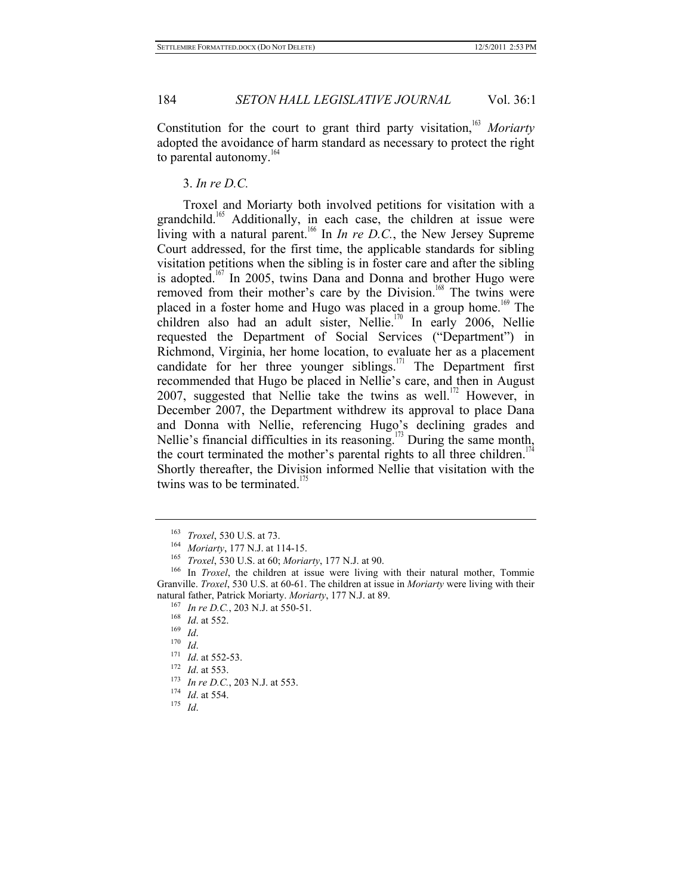Constitution for the court to grant third party visitation,<sup>163</sup> *Moriarty* adopted the avoidance of harm standard as necessary to protect the right to parental autonomy. $164$ 

#### 3. *In re D.C.*

Troxel and Moriarty both involved petitions for visitation with a grandchild.<sup>165</sup> Additionally, in each case, the children at issue were living with a natural parent.<sup>166</sup> In *In re D.C.*, the New Jersey Supreme Court addressed, for the first time, the applicable standards for sibling visitation petitions when the sibling is in foster care and after the sibling is adopted.<sup>167</sup> In 2005, twins Dana and Donna and brother Hugo were removed from their mother's care by the Division.<sup>168</sup> The twins were placed in a foster home and Hugo was placed in a group home.<sup>169</sup> The children also had an adult sister, Nellie.<sup>170</sup> In early 2006, Nellie requested the Department of Social Services ("Department") in Richmond, Virginia, her home location, to evaluate her as a placement candidate for her three younger siblings.<sup>171</sup> The Department first recommended that Hugo be placed in Nellie's care, and then in August 2007, suggested that Nellie take the twins as well.<sup>172</sup> However, in December 2007, the Department withdrew its approval to place Dana and Donna with Nellie, referencing Hugo's declining grades and Nellie's financial difficulties in its reasoning.<sup>173</sup> During the same month, the court terminated the mother's parental rights to all three children.<sup>17</sup> Shortly thereafter, the Division informed Nellie that visitation with the twins was to be terminated.<sup>175</sup>

<sup>&</sup>lt;sup>163</sup> *Troxel*, 530 U.S. at 73.<br><sup>164</sup> *Moriarty*, 177 N.J. at 114-15.<br><sup>165</sup> *Troxel*, 530 U.S. at 60; *Moriarty*, 177 N.J. at 90.<br><sup>166</sup> In *Troxel*, the children at issue were living with their natural mother, Tommie Granville. *Troxel*, 530 U.S. at 60-61. The children at issue in *Moriarty* were living with their natural father, Patrick Moriarty. *Moriarty*, 177 N.J. at 89.<br>
<sup>167</sup> In re D.C., 203 N.J. at 550-51.<br>
<sup>168</sup> Id. at 552.<br>
<sup>168</sup> Id. at 552.<br>
<sup>170</sup> Id.<br>
<sup>170</sup> Id. at 552-53.<br>
<sup>172</sup> Id. at 553.<br>
<sup>172</sup> Id. at 553.<br>
<sup>174</sup> Id.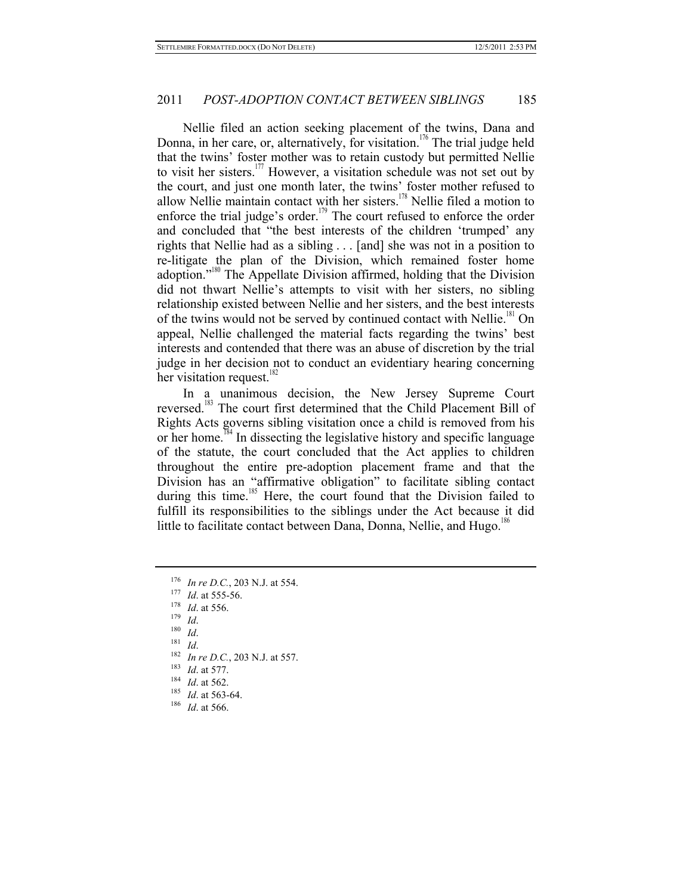Nellie filed an action seeking placement of the twins, Dana and Donna, in her care, or, alternatively, for visitation.<sup>176</sup> The trial judge held that the twins' foster mother was to retain custody but permitted Nellie to visit her sisters.<sup>177</sup> However, a visitation schedule was not set out by the court, and just one month later, the twins' foster mother refused to allow Nellie maintain contact with her sisters.<sup>178</sup> Nellie filed a motion to enforce the trial judge's order.<sup>179</sup> The court refused to enforce the order and concluded that "the best interests of the children 'trumped' any rights that Nellie had as a sibling . . . [and] she was not in a position to re-litigate the plan of the Division, which remained foster home adoption."180 The Appellate Division affirmed, holding that the Division did not thwart Nellie's attempts to visit with her sisters, no sibling relationship existed between Nellie and her sisters, and the best interests of the twins would not be served by continued contact with Nellie.<sup>181</sup> On appeal, Nellie challenged the material facts regarding the twins' best interests and contended that there was an abuse of discretion by the trial judge in her decision not to conduct an evidentiary hearing concerning her visitation request.<sup>182</sup>

In a unanimous decision, the New Jersey Supreme Court reversed.<sup>183</sup> The court first determined that the Child Placement Bill of Rights Acts governs sibling visitation once a child is removed from his or her home.<sup>184</sup> In dissecting the legislative history and specific language of the statute, the court concluded that the Act applies to children throughout the entire pre-adoption placement frame and that the Division has an "affirmative obligation" to facilitate sibling contact during this time.<sup>185</sup> Here, the court found that the Division failed to fulfill its responsibilities to the siblings under the Act because it did little to facilitate contact between Dana, Donna, Nellie, and Hugo.<sup>186</sup>

- <sup>176</sup> In re D.C., 203 N.J. at 554.<br>
<sup>177</sup> Id. at 555-56.<br>
<sup>178</sup> Id. at 556.<br>
<sup>178</sup> Id. at 556.<br>
<sup>181</sup> Id.<br>
<sup>181</sup> Id.<br>
<sup>181</sup> Id.<br>
<sup>181</sup> Id. at 577.<br>
<sup>183</sup> Id. at 577.<br>
<sup>184</sup> Id. at 562.<br>
<sup>183</sup> Id. at 562.<br>
<sup>183</sup> Id. at 563
- 
- 
- 
- 
- 
- 
- 
- 
- 
-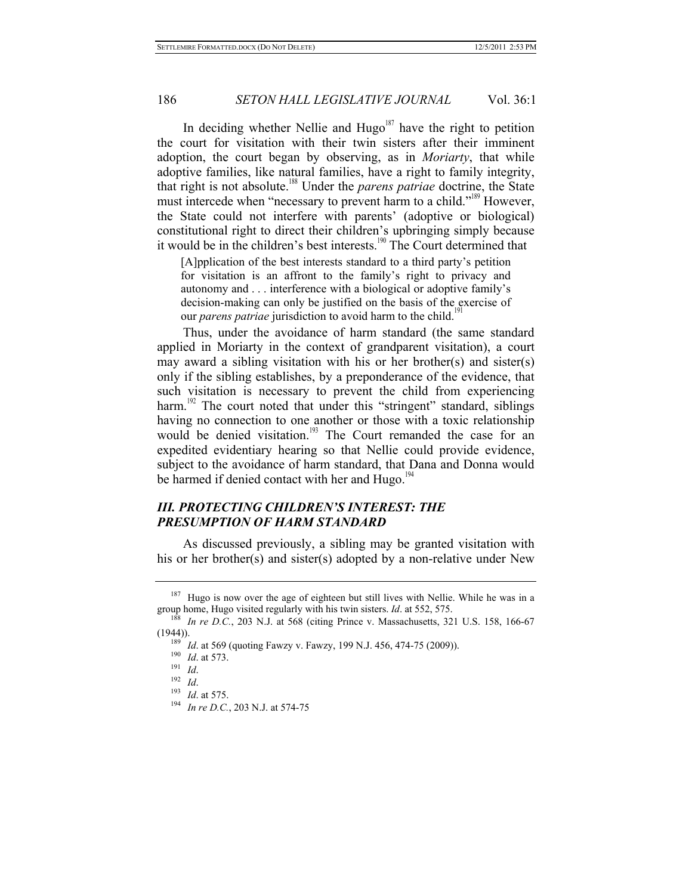In deciding whether Nellie and  $Hugo<sup>187</sup>$  have the right to petition the court for visitation with their twin sisters after their imminent adoption, the court began by observing, as in *Moriarty*, that while adoptive families, like natural families, have a right to family integrity, that right is not absolute.188 Under the *parens patriae* doctrine, the State must intercede when "necessary to prevent harm to a child."<sup>189</sup> However, the State could not interfere with parents' (adoptive or biological) constitutional right to direct their children's upbringing simply because it would be in the children's best interests.<sup>190</sup> The Court determined that

[A]pplication of the best interests standard to a third party's petition for visitation is an affront to the family's right to privacy and autonomy and . . . interference with a biological or adoptive family's decision-making can only be justified on the basis of the exercise of our *parens patriae* jurisdiction to avoid harm to the child.<sup>19</sup>

Thus, under the avoidance of harm standard (the same standard applied in Moriarty in the context of grandparent visitation), a court may award a sibling visitation with his or her brother(s) and sister(s) only if the sibling establishes, by a preponderance of the evidence, that such visitation is necessary to prevent the child from experiencing harm.<sup>192</sup> The court noted that under this "stringent" standard, siblings having no connection to one another or those with a toxic relationship would be denied visitation.<sup>193</sup> The Court remanded the case for an expedited evidentiary hearing so that Nellie could provide evidence, subject to the avoidance of harm standard, that Dana and Donna would be harmed if denied contact with her and Hugo.<sup>194</sup>

# *III. PROTECTING CHILDREN'S INTEREST: THE PRESUMPTION OF HARM STANDARD*

As discussed previously, a sibling may be granted visitation with his or her brother(s) and sister(s) adopted by a non-relative under New

<sup>&</sup>lt;sup>187</sup> Hugo is now over the age of eighteen but still lives with Nellie. While he was in a group home, Hugo visited regularly with his twin sisters. *Id.* at 552, 575.

<sup>&</sup>lt;sup>8</sup> In re D.C., 203 N.J. at 568 (citing Prince v. Massachusetts, 321 U.S. 158, 166-67 (1944)).<br>
<sup>189</sup> *Id.* at 569 (quoting Fawzy v. Fawzy, 199 N.J. 456, 474-75 (2009)).<br>
<sup>191</sup> *Id.*<br>
<sup>192</sup> *Id.*<br>
<sup>192</sup> *Id.* 193 *Id.* at 575.<br>
<sup>194</sup> *In re D.C.*, 203 N.J. at 574-75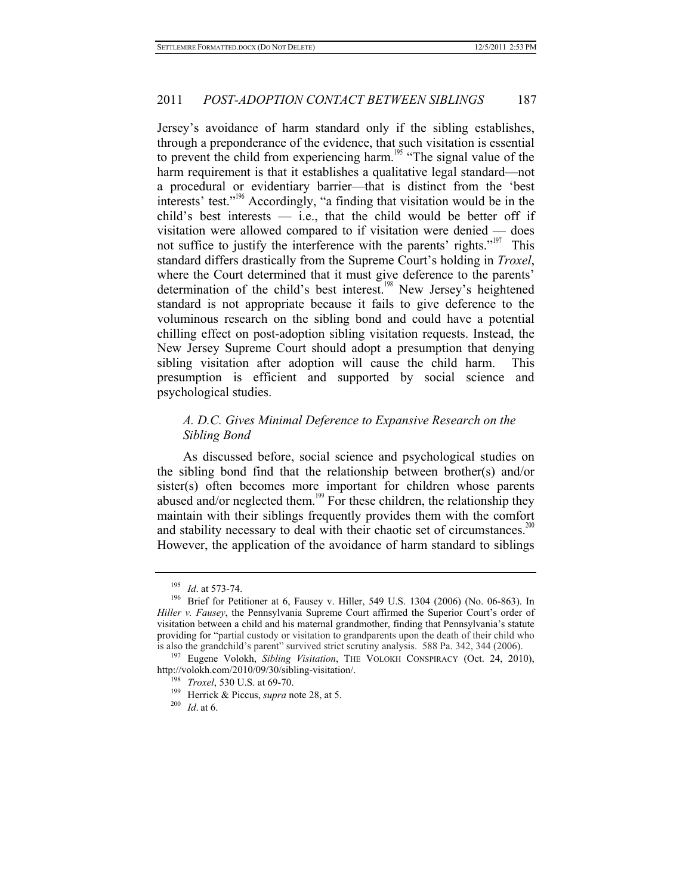Jersey's avoidance of harm standard only if the sibling establishes, through a preponderance of the evidence, that such visitation is essential to prevent the child from experiencing harm.<sup>195</sup> "The signal value of the harm requirement is that it establishes a qualitative legal standard—not a procedural or evidentiary barrier—that is distinct from the 'best interests' test."<sup>196</sup> Accordingly, "a finding that visitation would be in the child's best interests  $-$  i.e., that the child would be better off if visitation were allowed compared to if visitation were denied — does not suffice to justify the interference with the parents' rights."<sup>197</sup> This standard differs drastically from the Supreme Court's holding in *Troxel*, where the Court determined that it must give deference to the parents' determination of the child's best interest.<sup>198</sup> New Jersey's heightened standard is not appropriate because it fails to give deference to the voluminous research on the sibling bond and could have a potential chilling effect on post-adoption sibling visitation requests. Instead, the New Jersey Supreme Court should adopt a presumption that denying sibling visitation after adoption will cause the child harm. This presumption is efficient and supported by social science and psychological studies.

# *A. D.C. Gives Minimal Deference to Expansive Research on the Sibling Bond*

As discussed before, social science and psychological studies on the sibling bond find that the relationship between brother(s) and/or sister(s) often becomes more important for children whose parents abused and/or neglected them.<sup>199</sup> For these children, the relationship they maintain with their siblings frequently provides them with the comfort and stability necessary to deal with their chaotic set of circumstances.<sup>200</sup> However, the application of the avoidance of harm standard to siblings

<sup>&</sup>lt;sup>195</sup> *Id.* at 573-74.<br><sup>196</sup> Brief for Petitioner at 6, Fausey v. Hiller, 549 U.S. 1304 (2006) (No. 06-863). In *Hiller v. Fausey*, the Pennsylvania Supreme Court affirmed the Superior Court's order of visitation between a child and his maternal grandmother, finding that Pennsylvania's statute providing for "partial custody or visitation to grandparents upon the death of their child who

is also the grandchild's parent" survived strict scrutiny analysis. 588 Pa. 342, 344 (2006). 197 Eugene Volokh, *Sibling Visitation*, THE VOLOKH CONSPIRACY (Oct. 24, 2010), http://volokh.com/2010/09/30/sibling-visitation/. 198 *Troxel*, 530 U.S. at 69-70. 199 Herrick & Piccus, *supra* note 28, at 5. 200 *Id*. at 6.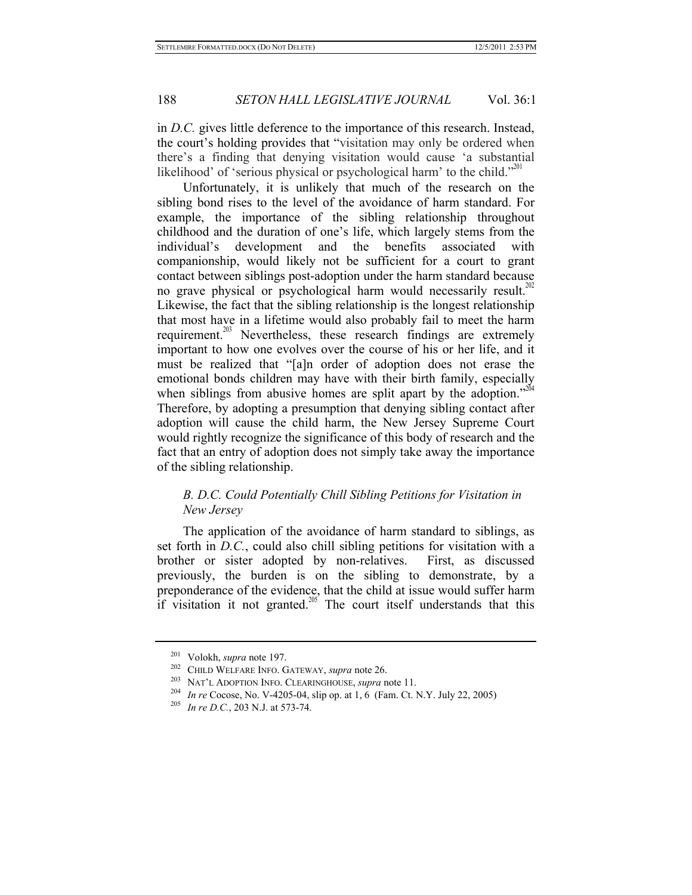in *D.C.* gives little deference to the importance of this research. Instead, the court's holding provides that "visitation may only be ordered when there's a finding that denying visitation would cause 'a substantial likelihood' of 'serious physical or psychological harm' to the child."<sup>201</sup>

Unfortunately, it is unlikely that much of the research on the sibling bond rises to the level of the avoidance of harm standard. For example, the importance of the sibling relationship throughout childhood and the duration of one's life, which largely stems from the individual's development and the benefits associated with companionship, would likely not be sufficient for a court to grant contact between siblings post-adoption under the harm standard because no grave physical or psychological harm would necessarily result.<sup>202</sup> Likewise, the fact that the sibling relationship is the longest relationship that most have in a lifetime would also probably fail to meet the harm requirement.<sup>203</sup> Nevertheless, these research findings are extremely important to how one evolves over the course of his or her life, and it must be realized that "[a]n order of adoption does not erase the emotional bonds children may have with their birth family, especially when siblings from abusive homes are split apart by the adoption." $204$ Therefore, by adopting a presumption that denying sibling contact after adoption will cause the child harm, the New Jersey Supreme Court would rightly recognize the significance of this body of research and the fact that an entry of adoption does not simply take away the importance of the sibling relationship.

# *B. D.C. Could Potentially Chill Sibling Petitions for Visitation in New Jersey*

The application of the avoidance of harm standard to siblings, as set forth in *D.C.*, could also chill sibling petitions for visitation with a brother or sister adopted by non-relatives. First, as discussed previously, the burden is on the sibling to demonstrate, by a preponderance of the evidence, that the child at issue would suffer harm if visitation it not granted.<sup>205</sup> The court itself understands that this

<sup>&</sup>lt;sup>201</sup> Volokh, *supra* note 197.<br>
<sup>202</sup> CHILD WELFARE INFO. GATEWAY, *supra* note 26.<br>
<sup>203</sup> NAT'L ADOPTION INFO. CLEARINGHOUSE, *supra* note 11.<br>
<sup>204</sup> In re Cocose, No. V-4205-04, slip op. at 1, 6 (Fam. Ct. N.Y. July 22,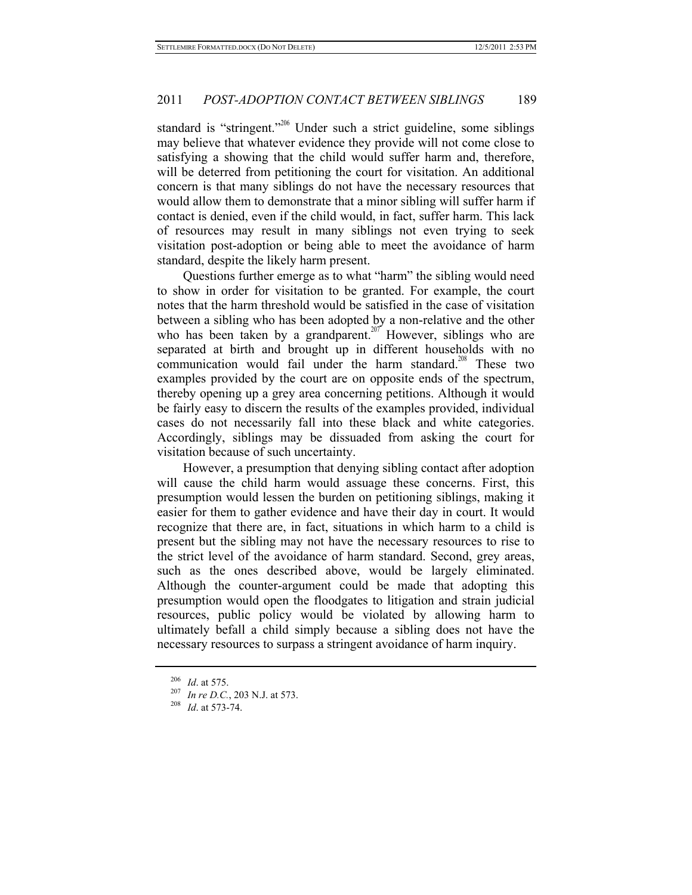standard is "stringent."<sup>206</sup> Under such a strict guideline, some siblings may believe that whatever evidence they provide will not come close to satisfying a showing that the child would suffer harm and, therefore, will be deterred from petitioning the court for visitation. An additional concern is that many siblings do not have the necessary resources that would allow them to demonstrate that a minor sibling will suffer harm if contact is denied, even if the child would, in fact, suffer harm. This lack of resources may result in many siblings not even trying to seek visitation post-adoption or being able to meet the avoidance of harm standard, despite the likely harm present.

Questions further emerge as to what "harm" the sibling would need to show in order for visitation to be granted. For example, the court notes that the harm threshold would be satisfied in the case of visitation between a sibling who has been adopted by a non-relative and the other who has been taken by a grandparent.<sup>207</sup> However, siblings who are separated at birth and brought up in different households with no communication would fail under the harm standard.<sup>208</sup> These two examples provided by the court are on opposite ends of the spectrum, thereby opening up a grey area concerning petitions. Although it would be fairly easy to discern the results of the examples provided, individual cases do not necessarily fall into these black and white categories. Accordingly, siblings may be dissuaded from asking the court for visitation because of such uncertainty.

However, a presumption that denying sibling contact after adoption will cause the child harm would assuage these concerns. First, this presumption would lessen the burden on petitioning siblings, making it easier for them to gather evidence and have their day in court. It would recognize that there are, in fact, situations in which harm to a child is present but the sibling may not have the necessary resources to rise to the strict level of the avoidance of harm standard. Second, grey areas, such as the ones described above, would be largely eliminated. Although the counter-argument could be made that adopting this presumption would open the floodgates to litigation and strain judicial resources, public policy would be violated by allowing harm to ultimately befall a child simply because a sibling does not have the necessary resources to surpass a stringent avoidance of harm inquiry.

<sup>206</sup> *Id*. at 575. 207 *In re D.C.*, 203 N.J. at 573. 208 *Id*. at 573-74.